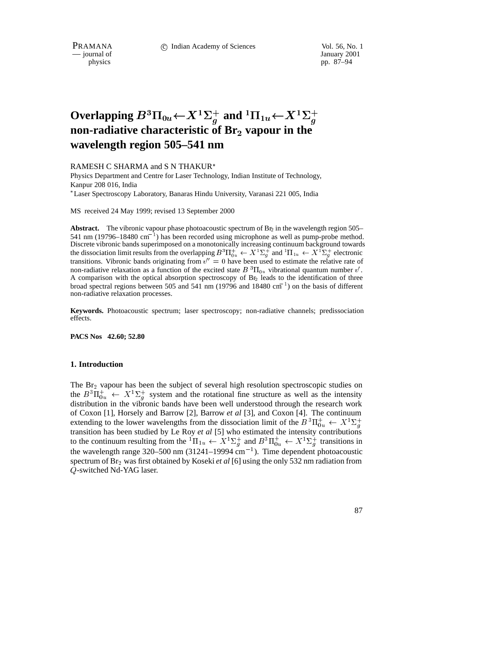PRAMANA 
<sup>c</sup> Indian Academy of Sciences Vol. 56, No. 1 January 2001

— journal of

physics pp. 87–94

# Overlapping  $B^3\Pi_{0u}$   $\leftarrow$   $X^1\Sigma_g^+$  and  ${}^1\Pi_{1u}$   $\leftarrow$   $X^1\Sigma_g^+$ **non-radiative characteristic of Br**<sup>2</sup> **vapour in the wavelength region 505–541 nm**

RAMESH C SHARMA and S N THAKUR

Physics Department and Centre for Laser Technology, Indian Institute of Technology, Kanpur 208 016, India

Laser Spectroscopy Laboratory, Banaras Hindu University, Varanasi 221 005, India

MS received 24 May 1999; revised 13 September 2000

**Abstract.** The vibronic vapour phase photoacoustic spectrum of  $B_E$  in the wavelength region 505– 541 nm (19796–18480 cm<sup>-1</sup>) has been recorded using microphone as well as pump-probe method. Discrete vibronic bands superimposed on a monotonically increasing continuum background towards the dissociation limit results from the overlapping  $B^3\Pi_{0u}^+ \leftarrow X^1\Sigma_q^+$  and  ${}^1\Pi_{1u} \leftarrow X^1\Sigma_q^+$  electronic transitions. Vibronic bands originating from  $v'' = 0$  have been used to estimate the relative rate of non-radiative relaxation as a function of the excited state  $B^{3}\Pi_{0u}$  vibrational quantum number v'. A comparison with the optical absorption spectroscopy of  $Br<sub>2</sub>$  leads to the identification of three broad spectral regions between 505 and 541 nm (19796 and 18480 cm<sup>-1</sup>) on the basis of different non-radiative relaxation processes.

**Keywords.** Photoacoustic spectrum; laser spectroscopy; non-radiative channels; predissociation effects.

**PACS Nos 42.60; 52.80**

#### **1. Introduction**

The  $Br<sub>2</sub>$  vapour has been the subject of several high resolution spectroscopic studies on the  $B^3 \Pi_{0u}^+ \leftarrow X^1 \Sigma_g^+$  system and the rotational fine structure as well as the intensity distribution in the vibronic bands have been well understood through the research work of Coxon [1], Horsely and Barrow [2], Barrow *et al* [3], and Coxon [4]. The continuum extending to the lower wavelengths from the dissociation limit of the  $B^3\Pi_{0u}^+\leftarrow X^1\Sigma_d^+$  $g$  and  $g$  and  $g$  and  $g$  and  $g$  and  $g$  and  $g$  and  $g$  and  $g$  and  $g$  and  $g$  and  $g$  and  $g$  and  $g$  and  $g$  and  $g$  and  $g$  and  $g$  and  $g$  and  $g$  and  $g$  and  $g$  and  $g$  and  $g$  and  $g$  and  $g$  and  $g$  and  $g$  a transition has been studied by Le Roy *et al* [5] who estimated the intensity contributions to the continuum resulting from the  ${}^1\Pi_{1u} \leftarrow X^1\Sigma_g^+$  and  $B^3\Pi_{0u}^+ \leftarrow X^1\Sigma_g^+$  transitions in the wavelength range 320–500 nm (31241–19994 cm<sup>-1</sup>). Time dependent photoacoustic spectrum of Br2 was first obtained by Koseki *et al* [6] using the only 532 nm radiation from Q-switched Nd-YAG laser.

87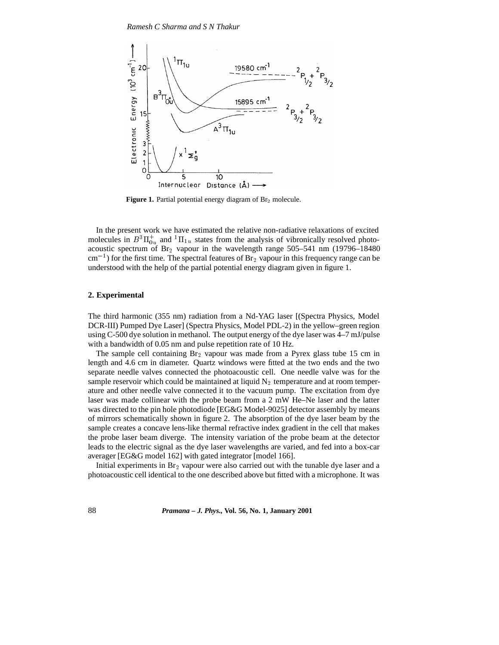

Figure 1. Partial potential energy diagram of Br<sub>2</sub> molecule.

In the present work we have estimated the relative non-radiative relaxations of excited molecules in  $B^3 \Pi_{0u}^+$  and  ${}^1\Pi_{1u}$  states from the analysis of vibronically resolved photoacoustic spectrum of  $Br_2$  vapour in the wavelength range 505–541 nm (19796–18480)  $\rm cm^{-1}$ ) for the first time. The spectral features of Br<sub>2</sub> vapour in this frequency range can be understood with the help of the partial potential energy diagram given in figure 1.

#### **2. Experimental**

The third harmonic (355 nm) radiation from a Nd-YAG laser [(Spectra Physics, Model DCR-III) Pumped Dye Laser] (Spectra Physics, Model PDL-2) in the yellow–green region using C-500 dye solution in methanol. The output energy of the dye laser was 4–7 mJ/pulse with a bandwidth of 0.05 nm and pulse repetition rate of 10 Hz.

The sample cell containing  $Br_2$  vapour was made from a Pyrex glass tube 15 cm in length and 4.6 cm in diameter. Quartz windows were fitted at the two ends and the two separate needle valves connected the photoacoustic cell. One needle valve was for the sample reservoir which could be maintained at liquid  $N<sub>2</sub>$  temperature and at room temperature and other needle valve connected it to the vacuum pump. The excitation from dye laser was made collinear with the probe beam from a 2 mW He–Ne laser and the latter was directed to the pin hole photodiode [EG&G Model-9025] detector assembly by means of mirrors schematically shown in figure 2. The absorption of the dye laser beam by the sample creates a concave lens-like thermal refractive index gradient in the cell that makes the probe laser beam diverge. The intensity variation of the probe beam at the detector leads to the electric signal as the dye laser wavelengths are varied, and fed into a box-car averager [EG&G model 162] with gated integrator [model 166].

Initial experiments in Br2 vapour were also carried out with the tunable dye laser and a photoacoustic cell identical to the one described above but fitted with a microphone. It was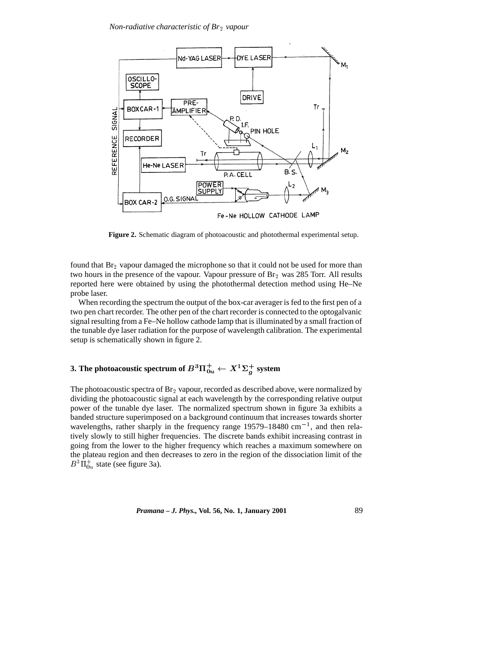

**Figure 2.** Schematic diagram of photoacoustic and photothermal experimental setup.

found that  $Br_2$  vapour damaged the microphone so that it could not be used for more than two hours in the presence of the vapour. Vapour pressure of  $Br<sub>2</sub>$  was 285 Torr. All results reported here were obtained by using the photothermal detection method using He–Ne probe laser.

When recording the spectrum the output of the box-car averager is fed to the first pen of a two pen chart recorder. The other pen of the chart recorder is connected to the optogalvanic signal resulting from a Fe–Ne hollow cathode lamp that is illuminated by a small fraction of the tunable dye laser radiation for the purpose of wavelength calibration. The experimental setup is schematically shown in figure 2.

## 3. The photoacoustic spectrum of  $B^3\Pi_{0u}^+\leftarrow X^1\Sigma_g^+$  system

The photoacoustic spectra of  $Br_2$  vapour, recorded as described above, were normalized by dividing the photoacoustic signal at each wavelength by the corresponding relative output power of the tunable dye laser. The normalized spectrum shown in figure 3a exhibits a banded structure superimposed on a background continuum that increases towards shorter wavelengths, rather sharply in the frequency range  $19579-18480$  cm<sup>-1</sup>, and then relatively slowly to still higher frequencies. The discrete bands exhibit increasing contrast in going from the lower to the higher frequency which reaches a maximum somewhere on the plateau region and then decreases to zero in the region of the dissociation limit of the  $B^3\Pi_{0u}^+$  state (see figure 3a).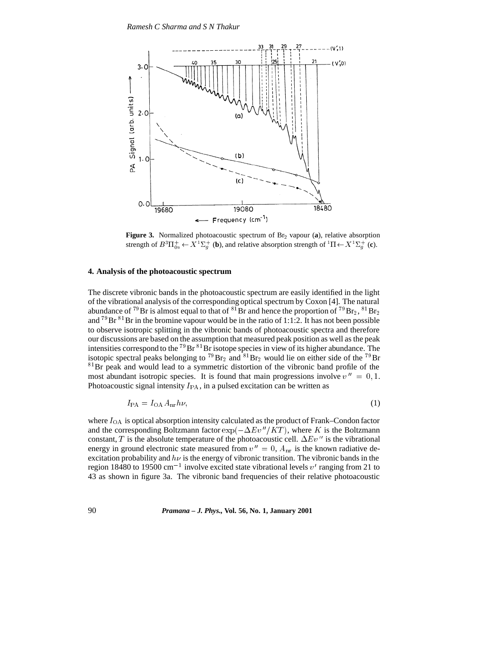

Figure 3. Normalized photoacoustic spectrum of Br<sub>2</sub> vapour (a), relative absorption strength of  $B^3 \Pi_{0u}^+ \leftarrow X^1 \Sigma_q^+$  (**b**), and relative absorption strength of  ${}^1 \Pi \leftarrow X^1 \Sigma_q^+$  (**c**).

#### **4. Analysis of the photoacoustic spectrum**

The discrete vibronic bands in the photoacoustic spectrum are easily identified in the light of the vibrational analysis of the corresponding optical spectrum by Coxon [4]. The natural abundance of <sup>79</sup>Br is almost equal to that of <sup>81</sup>Br and hence the proportion of <sup>79</sup>Br<sub>2</sub>, <sup>81</sup>Br<sub>2</sub> and  ${}^{79}Br$   ${}^{81}Br$  in the bromine vapour would be in the ratio of 1:1:2. It has not been possible to observe isotropic splitting in the vibronic bands of photoacoustic spectra and therefore our discussions are based on the assumption that measured peak position as well as the peak intensities correspond to the <sup>79</sup>Br  ${}^{81}$ Br isotope species in view of its higher abundance. The isotopic spectral peaks belonging to  $^{79}Br_2$  and  $^{81}Br_2$  would lie on either side of the  $^{79}Br$ <sup>81</sup>Br peak and would lead to a symmetric distortion of the vibronic band profile of the most abundant isotropic species. It is found that main progressions involve  $v'' = 0, 1$ . Photoacoustic signal intensity  $I_{PA}$ , in a pulsed excitation can be written as

$$
I_{\rm PA} = I_{\rm OA} A_{\rm nr} h\nu,\tag{1}
$$

where  $I_{\text{OA}}$  is optical absorption intensity calculated as the product of Frank–Condon factor and the corresponding Boltzmann factor  $\exp(-\Delta Ev''/KT)$ , where K is the Boltzmann constant, T is the absolute temperature of the photoacoustic cell.  $\Delta Ev''$  is the vibrational energy in ground electronic state measured from  $v'' = 0$ ,  $A_{nr}$  is the known radiative deexcitation probability and  $h\nu$  is the energy of vibronic transition. The vibronic bands in the region 18480 to 19500 cm<sup>-1</sup> involve excited state vibrational levels  $v'$  ranging from 21 to 43 as shown in figure 3a. The vibronic band frequencies of their relative photoacoustic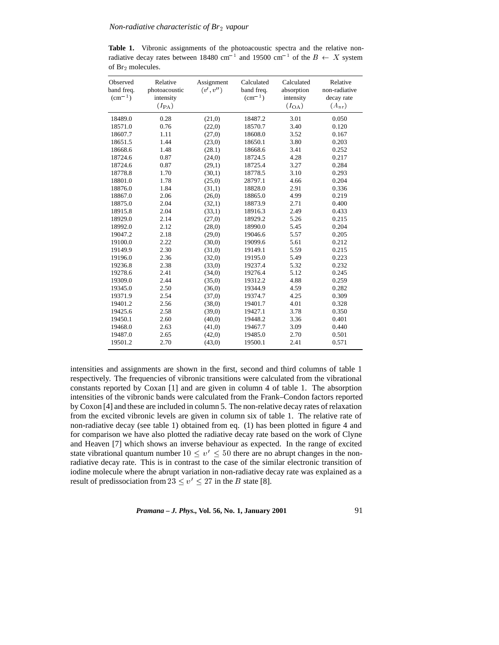**Table 1.** Vibronic assignments of the photoacoustic spectra and the relative nonradiative decay rates between 18480 cm<sup>-1</sup> and 19500 cm<sup>-1</sup> of the  $B \leftarrow X$  system of Br2 molecules.

| Observed<br>band freq.<br>$\rm (cm^{-1})$ | Relative<br>photoacoustic<br>intensity<br>$(I_{\mathrm{PA}})$ | Assignment<br>(v', v'') | Calculated<br>band freq.<br>$\rm (cm^{-1})$ | Calculated<br>absorption<br>intensity<br>$(I_{\text{OA}})$ | Relative<br>non-radiative<br>decay rate<br>$(A_{nr})$ |
|-------------------------------------------|---------------------------------------------------------------|-------------------------|---------------------------------------------|------------------------------------------------------------|-------------------------------------------------------|
| 18489.0                                   | 0.28                                                          | (21,0)                  | 18487.2                                     | 3.01                                                       | 0.050                                                 |
| 18571.0                                   | 0.76                                                          | (22,0)                  | 18570.7                                     | 3.40                                                       | 0.120                                                 |
| 18607.7                                   | 1.11                                                          | (27,0)                  | 18608.0                                     | 3.52                                                       | 0.167                                                 |
| 18651.5                                   | 1.44                                                          | (23,0)                  | 18650.1                                     | 3.80                                                       | 0.203                                                 |
| 18668.6                                   | 1.48                                                          | (28.1)                  | 18668.6                                     | 3.41                                                       | 0.252                                                 |
| 18724.6                                   | 0.87                                                          | (24,0)                  | 18724.5                                     | 4.28                                                       | 0.217                                                 |
| 18724.6                                   | 0.87                                                          | (29,1)                  | 18725.4                                     | 3.27                                                       | 0.284                                                 |
| 18778.8                                   | 1.70                                                          | (30,1)                  | 18778.5                                     | 3.10                                                       | 0.293                                                 |
| 18801.0                                   | 1.78                                                          | (25,0)                  | 28797.1                                     | 4.66                                                       | 0.204                                                 |
| 18876.0                                   | 1.84                                                          | (31,1)                  | 18828.0                                     | 2.91                                                       | 0.336                                                 |
| 18867.0                                   | 2.06                                                          | (26,0)                  | 18865.0                                     | 4.99                                                       | 0.219                                                 |
| 18875.0                                   | 2.04                                                          | (32,1)                  | 18873.9                                     | 2.71                                                       | 0.400                                                 |
| 18915.8                                   | 2.04                                                          | (33,1)                  | 18916.3                                     | 2.49                                                       | 0.433                                                 |
| 18929.0                                   | 2.14                                                          | (27,0)                  | 18929.2                                     | 5.26                                                       | 0.215                                                 |
| 18992.0                                   | 2.12                                                          | (28,0)                  | 18990.0                                     | 5.45                                                       | 0.204                                                 |
| 19047.2                                   | 2.18                                                          | (29,0)                  | 19046.6                                     | 5.57                                                       | 0.205                                                 |
| 19100.0                                   | 2.22                                                          | (30,0)                  | 19099.6                                     | 5.61                                                       | 0.212                                                 |
| 19149.9                                   | 2.30                                                          | (31,0)                  | 19149.1                                     | 5.59                                                       | 0.215                                                 |
| 19196.0                                   | 2.36                                                          | (32,0)                  | 19195.0                                     | 5.49                                                       | 0.223                                                 |
| 19236.8                                   | 2.38                                                          | (33,0)                  | 19237.4                                     | 5.32                                                       | 0.232                                                 |
| 19278.6                                   | 2.41                                                          | (34,0)                  | 19276.4                                     | 5.12                                                       | 0.245                                                 |
| 19309.0                                   | 2.44                                                          | (35,0)                  | 19312.2                                     | 4.88                                                       | 0.259                                                 |
| 19345.0                                   | 2.50                                                          | (36,0)                  | 19344.9                                     | 4.59                                                       | 0.282                                                 |
| 19371.9                                   | 2.54                                                          | (37,0)                  | 19374.7                                     | 4.25                                                       | 0.309                                                 |
| 19401.2                                   | 2.56                                                          | (38,0)                  | 19401.7                                     | 4.01                                                       | 0.328                                                 |
| 19425.6                                   | 2.58                                                          | (39,0)                  | 19427.1                                     | 3.78                                                       | 0.350                                                 |
| 19450.1                                   | 2.60                                                          | (40,0)                  | 19448.2                                     | 3.36                                                       | 0.401                                                 |
| 19468.0                                   | 2.63                                                          | (41,0)                  | 19467.7                                     | 3.09                                                       | 0.440                                                 |
| 19487.0                                   | 2.65                                                          | (42,0)                  | 19485.0                                     | 2.70                                                       | 0.501                                                 |
| 19501.2                                   | 2.70                                                          | (43,0)                  | 19500.1                                     | 2.41                                                       | 0.571                                                 |

intensities and assignments are shown in the first, second and third columns of table 1 respectively. The frequencies of vibronic transitions were calculated from the vibrational constants reported by Coxan [1] and are given in column 4 of table 1. The absorption intensities of the vibronic bands were calculated from the Frank–Condon factors reported by Coxon [4] and these are included in column 5. The non-relative decay rates of relaxation from the excited vibronic levels are given in column six of table 1. The relative rate of non-radiative decay (see table 1) obtained from eq. (1) has been plotted in figure 4 and for comparison we have also plotted the radiative decay rate based on the work of Clyne and Heaven [7] which shows an inverse behaviour as expected. In the range of excited state vibrational quantum number  $10 < v' < 50$  there are no abrupt changes in the nonradiative decay rate. This is in contrast to the case of the similar electronic transition of iodine molecule where the abrupt variation in non-radiative decay rate was explained as a result of predissociation from  $23 \le v' \le 27$  in the B state [8].

*Pramana – J. Phys.,* **Vol. 56, No. 1, January 2001** 91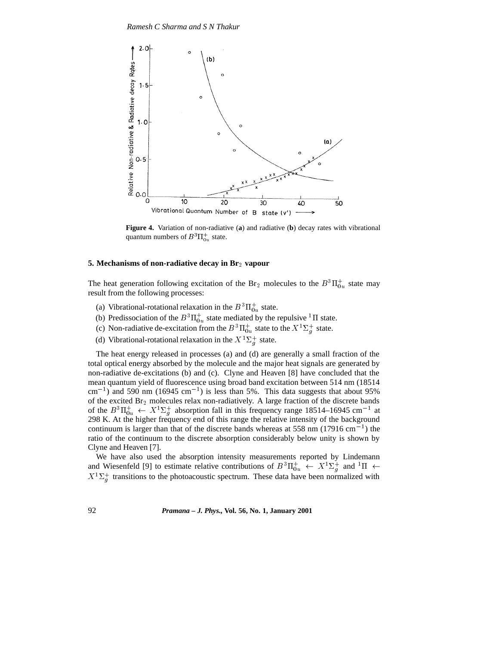

**Figure 4.** Variation of non-radiative (**a**) and radiative (**b**) decay rates with vibrational quantum numbers of  $B^3 \Pi_{0u}^+$  state.

#### **5. Mechanisms of non-radiative decay in Br**2 **vapour**

The heat generation following excitation of the Br<sub>2</sub> molecules to the  $B^3\Pi_{0u}^+$  state may result from the following processes:

- (a) Vibrational-rotational relaxation in the  $B^3\Pi_{0u}^+$  state.
- (b) Predissociation of the  $B^3\Pi_{0u}^+$  state mediated by the repulsive  ${}^1\Pi$  state.
- (c) Non-radiative de-excitation from the  $B^3 \Pi_{0u}^+$  state to the  $X^1 \Sigma_g^+$  state.
- (d) Vibrational-rotational relaxation in the  $X^1\Sigma_g^+$  state.

The heat energy released in processes (a) and (d) are generally a small fraction of the total optical energy absorbed by the molecule and the major heat signals are generated by non-radiative de-excitations (b) and (c). Clyne and Heaven [8] have concluded that the mean quantum yield of fluorescence using broad band excitation between 514 nm (18514  $\text{cm}^{-1}$ ) and 590 nm (16945 cm<sup>-1</sup>) is less than 5%. This data suggests that about 95% of the excited  $\text{Br}_2$  molecules relax non-radiatively. A large fraction of the discrete bands of the  $B^3 \Pi_{0u}^+ \leftarrow X^1 \Sigma_g^+$  absorption fall in this frequency range 18514–16945 cm<sup>-1</sup> at 298 K. At the higher frequency end of this range the relative intensity of the background continuum is larger than that of the discrete bands whereas at 558 nm  $(17916 \text{ cm}^{-1})$  the ratio of the continuum to the discrete absorption considerably below unity is shown by Clyne and Heaven [7].

We have also used the absorption intensity measurements reported by Lindemann and Wiesenfeld [9] to estimate relative contributions of  $B^3 \Pi_{0u}^+ \leftarrow X^1 \Sigma_g^+$  and  ${}^1\Pi \leftarrow$  $X^1\Sigma_g^+$  transitions to the photoacoustic spectrum. These data have been normalized with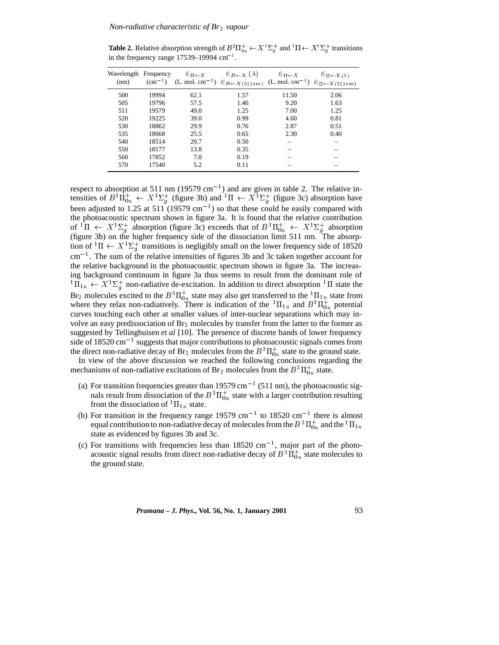**Table 2.** Relative absorption strength of  $B^3 \Pi_{0u}^+ \leftarrow X^1 \Sigma_q^+$  and  ${}^1\Pi \leftarrow X^1 \Sigma_q^+$  transitions in the frequency range  $17539-19994$  cm<sup>-1</sup>.

| Wavelength Frequency<br>(nm) |       | $\in_B \leftarrow x$ | $\in_{B\leftarrow X} (\lambda)$<br>(cm <sup>-1</sup> ) (L. mol. cm <sup>-1</sup> ) $\in_{B \leftarrow X (511nm)}$ (L. mol. cm <sup>-1</sup> ) $\in_{\Pi \leftarrow X (511nm)}$ | $\in$ $\Pi \leftarrow X$ | $\in$ $\Pi \leftarrow$ $X(\lambda)$ |
|------------------------------|-------|----------------------|--------------------------------------------------------------------------------------------------------------------------------------------------------------------------------|--------------------------|-------------------------------------|
| 500                          | 19994 | 62.1                 | 1.57                                                                                                                                                                           | 11.50                    | 2.06                                |
| 505                          | 19796 | 57.5                 | 1.46                                                                                                                                                                           | 9.20                     | 1.63                                |
| 511                          | 19579 | 49.0                 | 1.25                                                                                                                                                                           | 7.00                     | 1.25                                |
| 520                          | 19225 | 39.0                 | 0.99                                                                                                                                                                           | 4.60                     | 0.81                                |
| 530                          | 18862 | 29.9                 | 0.76                                                                                                                                                                           | 2.87                     | 0.51                                |
| 535                          | 18668 | 25.5                 | 0.65                                                                                                                                                                           | 2.30                     | 0.40                                |
| 540                          | 18514 | 20.7                 | 0.50                                                                                                                                                                           |                          |                                     |
| 550                          | 18177 | 13.8                 | 0.35                                                                                                                                                                           |                          |                                     |
| 560                          | 17852 | 7.0                  | 0.19                                                                                                                                                                           |                          |                                     |
| 570                          | 17540 | 5.2                  | 0.11                                                                                                                                                                           |                          |                                     |

respect to absorption at 511 nm (19579 cm<sup>-1</sup>) and are given in table 2. The relative intensities of  $B^3\Pi_{0u}^+ \leftarrow X^1\Sigma_g^+$  (figure 3b) and  ${}^1\Pi \leftarrow X^1\Sigma_g^+$  (figure 3c) absorption have been adjusted to 1.25 at 511 (19579  $\text{cm}^{-1}$ ) so that these could be easily compared with the photoacoustic spectrum shown in figure 3a. It is found that the relative contribution of  ${}^1\Pi \leftrightarrow X^1\Sigma_g^+$  absorption (figure 3c) exceeds that of  $B^3\Pi_{0u}^+ \leftarrow X^1\Sigma_g^+$  absorption (figure 3b) on the higher frequency side of the dissociation limit 511 nm. The absorption of  ${}^{1}\Pi \leftarrow X {}^{1}\Sigma_{g}^{+}$  transitions is negligibly small on the lower frequency side of 18520  $cm<sup>-1</sup>$ . The sum of the relative intensities of figures 3b and 3c taken together account for the relative background in the photoacoustic spectrum shown in figure 3a. The increasing background continuum in figure 3a thus seems to result from the dominant role of  ${}^{1}\Pi_{1u} \leftarrow X {}^{1}\Sigma_{g}^{+}$  non-radiative de-excitation. In addition to direct absorption  ${}^{1}\Pi$  state the Br<sub>2</sub> molecules excited to the  $B^3\Pi_{0u}^+$  state may also get transferred to the  $^1\Pi_{1u}$  state from where they relax non-radiatively. There is indication of the  ${}^{1} \Pi_{1u}$  and  $B {}^{3} \Pi_{0u}^{+}$  potential curves touching each other at smaller values of inter-nuclear separations which may involve an easy predissociation of  $Br<sub>2</sub>$  molecules by transfer from the latter to the former as suggested by Tellinghuisen *et al* [10]. The presence of discrete bands of lower frequency side of 18520 cm<sup>-1</sup> suggests that major contributions to photoacoustic signals comes from the direct non-radiative decay of Br<sub>2</sub> molecules from the  $B^3\Pi_{0u}^+$  state to the ground state.

In view of the above discussion we reached the following conclusions regarding the mechanisms of non-radiative excitations of Br<sub>2</sub> molecules from the  $B^3\Pi_{0u}^+$  state.

- (a) For transition frequencies greater than  $19579 \text{ cm}^{-1}$  (511 nm), the photoacoustic signals result from dissociation of the  $B^3\Pi_{0u}^+$  state with a larger contribution resulting from the dissociation of  ${}^{1}\Pi_{1u}$  state.
- (b) For transition in the frequency range  $19579 \text{ cm}^{-1}$  to  $18520 \text{ cm}^{-1}$  there is almost equal contribution to non-radiative decay of molecules from the  $B\,{}^{3}\Pi_{0u}^{+}$  and the  $^{1}\Pi_{1u}$ state as evidenced by figures 3b and 3c.
- (c) For transitions with frequencies less than  $18520 \text{ cm}^{-1}$ , major part of the photoacoustic signal results from direct non-radiative decay of  $B^3 \Pi_{0u}^+$  state molecules to the ground state.